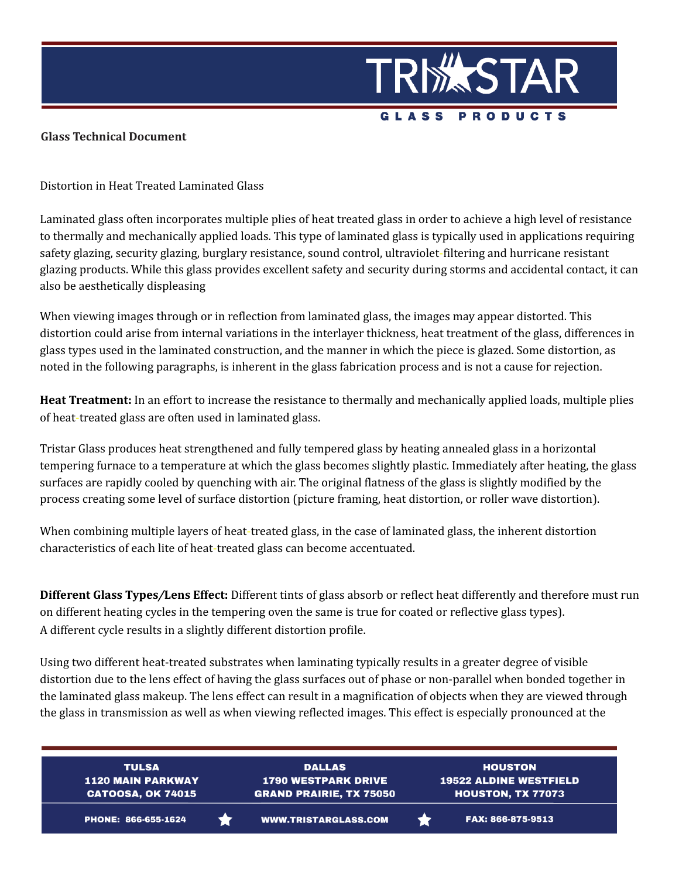

## **Glass Technical Document**

Distortion in Heat Treated Laminated Glass

Laminated glass often incorporates multiple plies of heat treated glass in order to achieve a high level of resistance to thermally and mechanically applied loads. This type of laminated glass is typically used in applications requiring safety glazing, security glazing, burglary resistance, sound control, ultraviolet-filtering and hurricane resistant glazing products. While this glass provides excellent safety and security during storms and accidental contact, it can also be aesthetically displeasing

When viewing images through or in reflection from laminated glass, the images may appear distorted. This distortion could arise from internal variations in the interlayer thickness, heat treatment of the glass, differences in glass types used in the laminated construction, and the manner in which the piece is glazed. Some distortion, as noted in the following paragraphs, is inherent in the glass fabrication process and is not a cause for rejection.

**Heat Treatment:** In an effort to increase the resistance to thermally and mechanically applied loads, multiple plies of heat-treated glass are often used in laminated glass.

Tristar Glass produces heat strengthened and fully tempered glass by heating annealed glass in a horizontal tempering furnace to a temperature at which the glass becomes slightly plastic. Immediately after heating, the glass surfaces are rapidly cooled by quenching with air. The original flatness of the glass is slightly modified by the process creating some level of surface distortion (picture framing, heat distortion, or roller wave distortion).

When combining multiple layers of heat-treated glass, in the case of laminated glass, the inherent distortion characteristics of each lite of heat-treated glass can become accentuated.

**Different Glass Types***/***Lens Effect:** Different tints of glass absorb or reflect heat differently and therefore must run on different heating cycles in the tempering oven the same is true for coated or reflective glass types). A different cycle results in a slightly different distortion profile.

Using two different heat-treated substrates when laminating typically results in a greater degree of visible distortion due to the lens effect of having the glass surfaces out of phase or non-parallel when bonded together in the laminated glass makeup. The lens effect can result in a magnification of objects when they are viewed through the glass in transmission as well as when viewing reflected images. This effect is especially pronounced at the

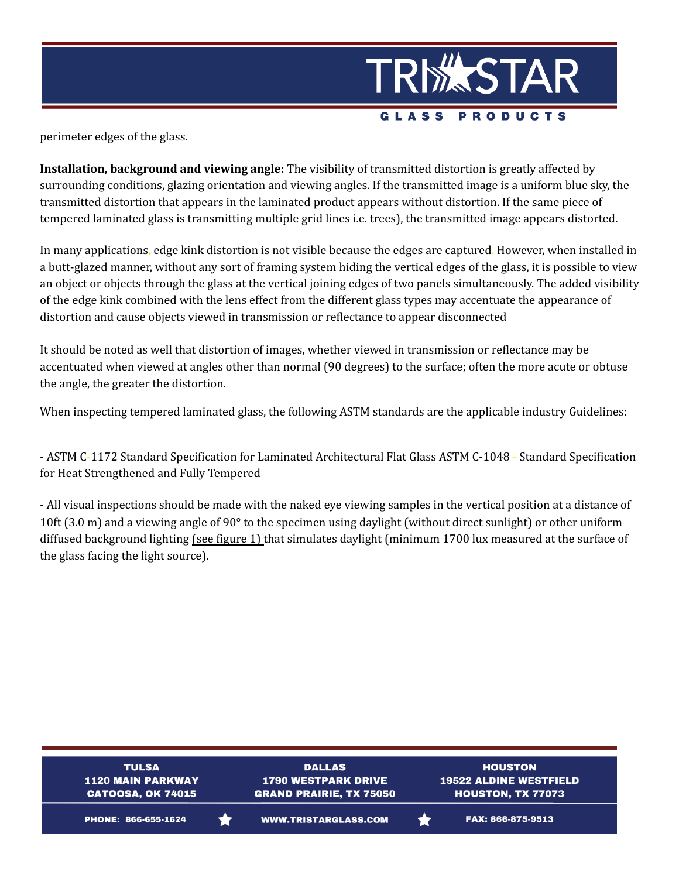

perimeter edges of the glass.

**Installation, background and viewing angle:** The visibility of transmitted distortion is greatly affected by surrounding conditions, glazing orientation and viewing angles. If the transmitted image is a uniform blue sky, the transmitted distortion that appears in the laminated product appears without distortion. If the same piece of tempered laminated glass is transmitting multiple grid lines i.e. trees), the transmitted image appears distorted.

In many applications, edge kink distortion is not visible because the edges are captured. However, when installed in a butt-glazed manner, without any sort of framing system hiding the vertical edges of the glass, it is possible to view an object or objects through the glass at the vertical joining edges of two panels simultaneously. The added visibility of the edge kink combined with the lens effect from the different glass types may accentuate the appearance of distortion and cause objects viewed in transmission or reflectance to appear disconnected

It should be noted as well that distortion of images, whether viewed in transmission or reflectance may be accentuated when viewed at angles other than normal (90 degrees) to the surface; often the more acute or obtuse the angle, the greater the distortion.

When inspecting tempered laminated glass, the following ASTM standards are the applicable industry Guidelines:

- ASTM C-1172 Standard Specification for Laminated Architectural Flat Glass ASTM C-1048 - Standard Specification for Heat Strengthened and Fully Tempered

- All visual inspections should be made with the naked eye viewing samples in the vertical position at a distance of 10ft (3.0 m) and a viewing angle of 90° to the specimen using daylight (without direct sunlight) or other uniform diffused background lighting (see figure 1) that simulates daylight (minimum 1700 lux measured at the surface of the glass facing the light source).